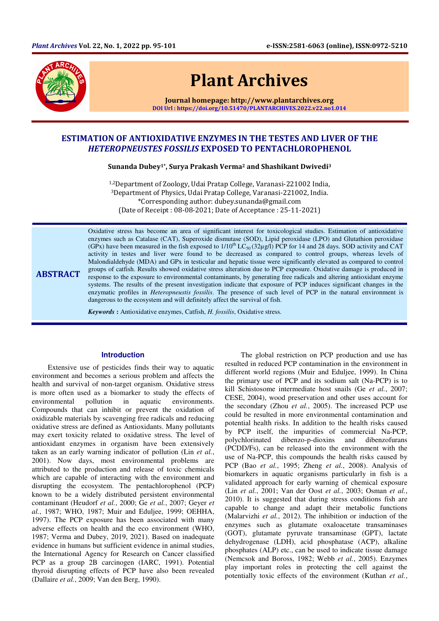

# Plant Archives

Journal homepage: http://www.plantarchives.org DOI Url : https://doi.org/10.51470/PLANTARCHIVES.2022.v22.no1.014

## ESTIMATION OF ANTIOXIDATIVE ENZYMES IN THE TESTES AND LIVER OF THE HETEROPNEUSTES FOSSILIS EXPOSED TO PENTACHLOROPHENOL

Sunanda Dubey<sup>1\*</sup>, Surva Prakash Verma<sup>2</sup> and Shashikant Dwivedi<sup>3</sup>

1,2Department of Zoology, Udai Pratap College, Varanasi-221002 India, <sup>3</sup>Department of Physics, Udai Pratap College, Varanasi-221002, India. \*Corresponding author: dubey.sunanda@gmail.com (Date of Receipt : 08-08-2021; Date of Acceptance : 25-11-2021)

ABSTRACT Oxidative stress has become an area of significant interest for toxicological studies. Estimation of antioxidative enzymes such as Catalase (CAT), Superoxide dismutase (SOD), Lipid peroxidase (LPO) and Glutathion peroxidase (GPx) have been measured in the fish exposed to  $1/10^{th}$  LC<sub>50</sub> (32 $\mu$ g/l) PCP for 14 and 28 days. SOD activity and CAT activity in testes and liver were found to be decreased as compared to control groups, whereas levels of Malondialdehyde (MDA) and GPx in testicular and hepatic tissue were significantly elevated as compared to control groups of catfish. Results showed oxidative stress alteration due to PCP exposure. Oxidative damage is produced in response to the exposure to environmental contaminants, by generating free radicals and altering antioxidant enzyme systems. The results of the present investigation indicate that exposure of PCP induces significant changes in the enzymatic profiles in *Heteropneustis fossilis*. The presence of such level of PCP in the natural environment is dangerous to the ecosystem and will definitely affect the survival of fish.

*Keywords* **:** Antioxidative enzymes, Catfish, *H. fossilis*, Oxidative stress.

## **Introduction**

Extensive use of pesticides finds their way to aquatic environment and becomes a serious problem and affects the health and survival of non-target organism. Oxidative stress is more often used as a biomarker to study the effects of environmental pollution in aquatic environments. Compounds that can inhibit or prevent the oxidation of oxidizable materials by scavenging free radicals and reducing oxidative stress are defined as Antioxidants. Many pollutants may exert toxicity related to oxidative stress. The level of antioxidant enzymes in organism have been extensively taken as an early warning indicator of pollution (Lin *et al.*, 2001). Now days, most environmental problems are attributed to the production and release of toxic chemicals which are capable of interacting with the environment and disrupting the ecosystem. The pentachlorophenol (PCP) known to be a widely distributed persistent environmental contaminant (Heudorf *et al.*, 2000; Ge *et al.*, 2007; Geyer *et al.*, 1987; WHO, 1987; Muir and Eduljee, 1999; OEHHA, 1997). The PCP exposure has been associated with many adverse effects on health and the eco environment (WHO, 1987; Verma and Dubey, 2019, 2021). Based on inadequate evidence in humans but sufficient evidence in animal studies, the International Agency for Research on Cancer classified PCP as a group 2B carcinogen (IARC, 1991). Potential thyroid disrupting effects of PCP have also been revealed (Dallaire *et al.*, 2009; Van den Berg, 1990).

The global restriction on PCP production and use has resulted in reduced PCP contamination in the environment in different world regions (Muir and Eduljee, 1999). In China the primary use of PCP and its sodium salt (Na-PCP) is to kill Schistosome intermediate host snails (Ge *et al.*, 2007; CESE, 2004), wood preservation and other uses account for the secondary (Zhou *et al.*, 2005). The increased PCP use could be resulted in more environmental contamination and potential health risks. In addition to the health risks caused by PCP itself, the impurities of commercial Na-PCP, polychlorinated dibenzo-p-dioxins and dibenzofurans (PCDD/Fs), can be released into the environment with the use of Na-PCP, this compounds the health risks caused by PCP (Bao *et al.*, 1995; Zheng *et al.*, 2008). Analysis of biomarkers in aquatic organisms particularly in fish is a validated approach for early warning of chemical exposure (Lin *et al.*, 2001; Van der Oost *et al.*, 2003; Osman *et al.*, 2010). It is suggested that during stress conditions fish are capable to change and adapt their metabolic functions (Malarvizhi *et al.*, 2012). The inhibition or induction of the enzymes such as glutamate oxaloacetate transaminases (GOT), glutamate pyruvate transaminase (GPT), lactate dehydrogenase (LDH), acid phosphatase (ACP), alkaline phosphates (ALP) etc., can be used to indicate tissue damage (Nemcsok and Boross, 1982; Webb *et al.*, 2005). Enzymes play important roles in protecting the cell against the potentially toxic effects of the environment (Kuthan *et al.*,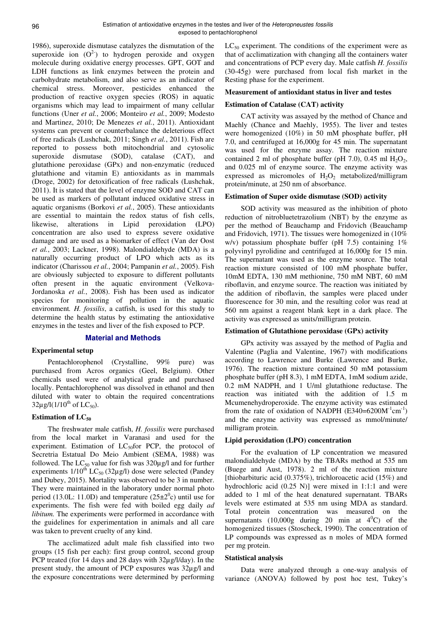1986), superoxide dismutase catalyzes the dismutation of the superoxide ion  $(O^2)$  to hydrogen peroxide and oxygen molecule during oxidative energy processes. GPT, GOT and LDH functions as link enzymes between the protein and carbohydrate metabolism, and also serve as an indicator of chemical stress. Moreover, pesticides enhanced the production of reactive oxygen species (ROS) in aquatic organisms which may lead to impairment of many cellular functions (Uner *et al.*, 2006; Monteiro *et al.*, 2009; Modesto and Martinez, 2010; De Menezes *et al.*, 2011). Antioxidant systems can prevent or counterbalance the deleterious effect of free radicals (Lushchak, 2011; Singh *et al.*, 2011). Fish are reported to possess both mitochondrial and cytosolic superoxide dismutase (SOD), catalase (CAT), and glutathione peroxidase (GPx) and non-enzymatic (reduced glutathione and vitamin E) antioxidants as in mammals (Droge, 2002) for detoxification of free radicals (Lushchak, 2011). It is stated that the level of enzyme SOD and CAT can be used as markers of pollutant induced oxidative stress in aquatic organisms (Borkovi *et al.*, 2005). These antioxidants are essential to maintain the redox status of fish cells, likewise, alterations in Lipid peroxidation **(**LPO) concentration are also used to express severe oxidative damage and are used as a biomarker of effect (Van der Oost *et al.*, 2003; Lackner, 1998). Malondialdehyde (MDA) is a naturally occurring product of LPO which acts as its indicator (Charissou *et al.*, 2004; Pampanin *et al.*, 2005). Fish are obviously subjected to exposure to different pollutants often present in the aquatic environment (Velkova-Jordanoska *et al.*, 2008). Fish has been used as indicator species for monitoring of pollution in the aquatic environment*. H. fossilis*, a catfish, is used for this study to determine the health status by estimating the antioxidative enzymes in the testes and liver of the fish exposed to PCP.

## **Material and Methods**

## **Experimental setup**

Pentachlorophenol (Crystalline, 99% pure) was purchased from Acros organics (Geel, Belgium). Other chemicals used were of analytical grade and purchased locally. Pentachlorophenol was dissolved in ethanol and then diluted with water to obtain the required concentrations  $32\mu$ g/l(1/10<sup>th</sup> of LC<sub>50</sub>).

## **Estimation of LC<sup>50</sup>**

The freshwater male catfish, *H. fossilis* were purchased from the local market in Varanasi and used for the experiment. Estimation of  $LC_{50}$ for PCP, the protocol of Secretria Estatual Do Meio Ambient (SEMA, 1988) was followed. The  $LC_{50}$  value for fish was  $320\mu g/l$  and for further experiments  $1/10^{th}$  LC<sub>50</sub> (32µg/l) dose were selected (Pandey and Dubey, 2015). Mortality was observed to be 3 in number. They were maintained in the laboratory under normal photo period (13.0L: 11.0D) and temperature  $(25\pm2^0c)$  until use for experiments. The fish were fed with boiled egg daily *ad libitum.* The experiments were performed in accordance with the guidelines for experimentation in animals and all care was taken to prevent cruelty of any kind.

The acclimatized adult male fish classified into two groups (15 fish per each): first group control, second group PCP treated (for 14 days and 28 days with  $32\mu$ g/l/day). In the present study, the amount of PCP exposures was 32µg/l and the exposure concentrations were determined by performing  $LC_{50}$  experiment. The conditions of the experiment were as that of acclimatization with changing all the containers water and concentrations of PCP every day. Male catfish *H. fossilis* (30-45g) were purchased from local fish market in the Resting phase for the experiment.

#### **Measurement of antioxidant status in liver and testes**

#### **Estimation of Catalase (CAT) activity**

CAT activity was assayed by the method of Chance and Maehly (Chance and Maehly, 1955). The liver and testes were homogenized (10%) in 50 mM phosphate buffer, pH 7.0, and centrifuged at 16,000g for 45 min. The supernatant was used for the enzyme assay. The reaction mixture contained 2 ml of phosphate buffer (pH 7.0), 0.45 ml  $H_2O_2$ , and 0.025 ml of enzyme source. The enzyme activity was expressed as micromoles of  $H_2O_2$  metabolized/milligram protein/minute, at 250 nm of absorbance.

#### **Estimation of Super oxide dismutase (SOD) activity**

SOD activity was measured as the inhibition of photo reduction of nitrobluetetrazolium (NBT) by the enzyme as per the method of Beauchamp and Fridovich (Beauchamp and Fridovich, 1971). The tissues were homogenized in (10% w/v) potassium phosphate buffer (pH 7.5) containing  $1\%$ polyvinyl pyrolidine and centrifuged at 16,000g for 15 min. The supernatant was used as the enzyme source. The total reaction mixture consisted of 100 mM phosphate buffer, 10mM EDTA, 130 mM methionine, 750 mM NBT, 60 mM riboflavin, and enzyme source. The reaction was initiated by the addition of riboflavin, the samples were placed under fluorescence for 30 min, and the resulting color was read at 560 nm against a reagent blank kept in a dark place. The activity was expressed as units/milligram protein.

#### **Estimation of Glutathione peroxidase (GPx) activity**

GPx activity was assayed by the method of Paglia and Valentine (Paglia and Valentine, 1967) with modifications according to Lawrence and Burke (Lawrence and Burke, 1976). The reaction mixture contained 50 mM potassium phosphate buffer (pH 8.3), 1 mM EDTA, 1mM sodium azide, 0.2 mM NADPH, and 1 U/ml glutathione reductase. The reaction was initiated with the addition of 1.5 m Mcumenehydroperoxide. The enzyme activity was estimated from the rate of oxidation of NADPH  $(E340=6200M^{-1}cm^{-1})$ and the enzyme activity was expressed as mmol/minute/ milligram protein.

#### **Lipid peroxidation (LPO) concentration**

For the evaluation of LP concentration we measured malondialdehyde (MDA) by the TBARs method at 535 nm (Buege and Aust, 1978). 2 ml of the reaction mixture [thiobarbituric acid  $(0.375\%)$ , trichloroacetic acid  $(15\%)$  and hydrochloric acid (0.25 N)] were mixed in 1:1:1 and were added to 1 ml of the heat denatured supernatant. TBARs levels were estimated at 535 nm using MDA as standard. Total protein concentration was measured on the supernatants  $(10,000g$  during 20 min at  $4^0C$ ) of the homogenized tissues (Stoscheck, 1990). The concentration of LP compounds was expressed as n moles of MDA formed per mg protein.

#### **Statistical analysis**

Data were analyzed through a one-way analysis of variance (ANOVA) followed by post hoc test, Tukey's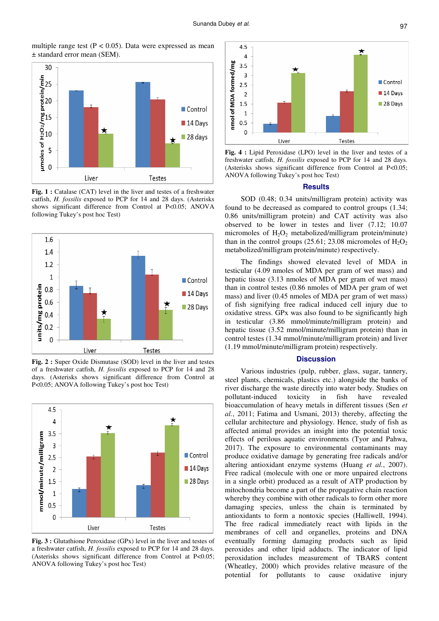multiple range test  $(P < 0.05)$ . Data were expressed as mean ± standard error mean (SEM).



Fig. 1 : Catalase (CAT) level in the liver and testes of a freshwater catfish, *H. fossilis* exposed to PCP for 14 and 28 days. (Asterisks shows significant difference from Control at P<0.05; ANOVA following Tukey's post hoc Test)



**Fig. 2 :** Super Oxide Dismutase (SOD) level in the liver and testes of a freshwater catfish, *H. fossilis* exposed to PCP for 14 and 28 days. (Asterisks shows significant difference from Control at P<0.05; ANOVA following Tukey's post hoc Test)



**Fig. 3 :** Glutathione Peroxidase (GPx) level in the liver and testes of a freshwater catfish, *H. fossilis* exposed to PCP for 14 and 28 days. (Asterisks shows significant difference from Control at P<0.05; ANOVA following Tukey's post hoc Test)



**Fig. 4 :** Lipid Peroxidase (LPO) level in the liver and testes of a freshwater catfish, *H. fossilis* exposed to PCP for 14 and 28 days. (Asterisks shows significant difference from Control at P<0.05; ANOVA following Tukey's post hoc Test)

#### **Results**

SOD (0.48; 0.34 units/milligram protein) activity was found to be decreased as compared to control groups (1.34; 0.86 units/milligram protein) and CAT activity was also observed to be lower in testes and liver (7.12; 10.07 micromoles of  $H_2O_2$  metabolized/milligram protein/minute) than in the control groups (25.61; 23.08 micromoles of  $H_2O_2$ ) metabolized/milligram protein/minute) respectively.

The findings showed elevated level of MDA in testicular (4.09 nmoles of MDA per gram of wet mass) and hepatic tissue (3.13 nmoles of MDA per gram of wet mass) than in control testes (0.86 nmoles of MDA per gram of wet mass) and liver (0.45 nmoles of MDA per gram of wet mass) of fish signifying free radical induced cell injury due to oxidative stress. GPx was also found to be significantly high in testicular (3.86 mmol/minute/milligram protein) and hepatic tissue (3.52 mmol/minute/milligram protein) than in control testes (1.34 mmol/minute/milligram protein) and liver (1.19 mmol/minute/milligram protein) respectively.

## **Discussion**

Various industries (pulp, rubber, glass, sugar, tannery, steel plants, chemicals, plastics etc.) alongside the banks of river discharge the waste directly into water body. Studies on pollutant-induced toxicity in fish have revealed bioaccumulation of heavy metals in different tissues (Sen *et al.*, 2011; Fatima and Usmani, 2013) thereby, affecting the cellular architecture and physiology. Hence, study of fish as affected animal provides an insight into the potential toxic effects of perilous aquatic environments (Tyor and Pahwa, 2017). The exposure to environmental contaminants may produce oxidative damage by generating free radicals and/or altering antioxidant enzyme systems (Huang *et al.*, 2007). Free radical (molecule with one or more unpaired electrons in a single orbit) produced as a result of ATP production by mitochondria become a part of the propagative chain reaction whereby they combine with other radicals to form other more damaging species, unless the chain is terminated by antioxidants to form a nontoxic species (Halliwell, 1994). The free radical immediately react with lipids in the membranes of cell and organelles, proteins and DNA eventually forming damaging products such as lipid peroxides and other lipid adducts. The indicator of lipid peroxidation includes measurement of TBARS content (Wheatley, 2000) which provides relative measure of the potential for pollutants to cause oxidative injury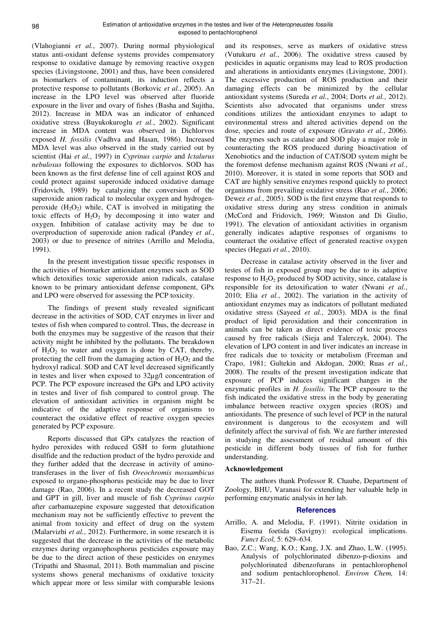(Vlahogianni *et al.*, 2007). During normal physiological status anti-oxidant defense systems provides compensatory response to oxidative damage by removing reactive oxygen species (Livingstoone, 2001) and thus, have been considered as biomarkers of contaminant, its induction reflects a protective response to pollutants (Borkovic *et al.*, 2005). An increase in the LPO level was observed after fluoride exposure in the liver and ovary of fishes (Basha and Sujitha, 2012). Increase in MDA was an indicator of enhanced oxidative stress (Buyukokuroglu *et al.*, 2002). Significant increase in MDA content was observed in Dichlorvos exposed *H. fossilis* (Vadhva and Hasan, 1986). Increased MDA level was also observed in the study carried out by scientist (Hai *et al.*, 1997) in *Cyprinus carpio* and *Ictalurus nebulosus* following the exposures to dichlorvos. SOD has been known as the first defense line of cell against ROS and could protect against superoxide induced oxidative damage (Fridovich, 1989) by catalyzing the conversion of the superoxide anion radical to molecular oxygen and hydrogenperoxide  $(H_2O_2)$  while, CAT is involved in mitigating the toxic effects of  $H_2O_2$  by decomposing it into water and oxygen. Inhibition of catalase activity may be due to overproduction of superoxide anion radical (Pandey *et al.*, 2003) or due to presence of nitrites (Arrillo and Melodia, 1991).

In the present investigation tissue specific responses in the activities of biomarker antioxidant enzymes such as SOD which detoxifies toxic superoxide anion radicals, catalase known to be primary antioxidant defense component, GPx and LPO were observed for assessing the PCP toxicity.

The findings of present study revealed significant decrease in the activities of SOD, CAT enzymes in liver and testes of fish when compared to control. Thus, the decrease in both the enzymes may be suggestive of the reason that their activity might be inhibited by the pollutants. The breakdown of  $H_2O_2$  to water and oxygen is done by CAT, thereby, protecting the cell from the damaging action of  $H_2O_2$  and the hydroxyl radical. SOD and CAT level decreased significantly in testes and liver when exposed to 32µg/l concentration of PCP. The PCP exposure increased the GPx and LPO activity in testes and liver of fish compared to control group. The elevation of antioxidant activities in organism might be indicative of the adaptive response of organisms to counteract the oxidative effect of reactive oxygen species generated by PCP exposure.

Reports discussed that GPx catalyzes the reaction of hydro peroxides with reduced GSH to form glutathione disulfide and the reduction product of the hydro peroxide and they further added that the decrease in activity of aminotransferases in the liver of fish *Oreochromis mossambicus* exposed to organo-phosphorus pesticide may be due to liver damage (Rao, 2006). In a recent study the decreased GOT and GPT in gill, liver and muscle of fish *Cyprinus carpio* after carbamazepine exposure suggested that detoxification mechanism may not be sufficiently effective to prevent the animal from toxicity and effect of drug on the system (Malarvizhi *et al.*, 2012). Furthermore, in some research it is suggested that the decrease in the activities of the metabolic enzymes during organophosphorus pesticides exposure may be due to the direct action of these pesticides on enzymes (Tripathi and Shasmal, 2011). Both mammalian and piscine systems shows general mechanisms of oxidative toxicity which appear more or less similar with comparable lesions

and its responses, serve as markers of oxidative stress (Vutukuru *et al.*, 2006). The oxidative stress caused by pesticides in aquatic organisms may lead to ROS production and alterations in antioxidants enzymes (Livingstone, 2001). The excessive production of ROS production and their damaging effects can be minimized by the cellular antioxidant systems (Sureda *et al.*, 2004; Dorts *et al.*, 2012). Scientists also advocated that organisms under stress conditions utilizes the antioxidant enzymes to adapt to environmental stress and altered activities depend on the dose, species and route of exposure (Gravato *et al.*, 2006). The enzymes such as catalase and SOD play a major role in counteracting the ROS produced during bioactivation of Xenobiotics and the induction of CAT/SOD system might be the foremost defense mechanism against ROS (Nwani *et al.*, 2010). Moreover, it is stated in some reports that SOD and CAT are highly sensitive enzymes respond quickly to protect organisms from prevailing oxidative stress (Rao *et al.*, 2006; Dewez *et al.*, 2005). SOD is the first enzyme that responds to oxidative stress during any stress condition in animals (McCord and Fridovich, 1969; Winston and Di Giulio, 1991). The elevation of antioxidant activities in organism generally indicates adaptive responses of organisms to counteract the oxidative effect of generated reactive oxygen species (Hegazi *et al.*, 2010).

Decrease in catalase activity observed in the liver and testes of fish in exposed group may be due to its adaptive response to  $H_2O_2$  produced by SOD activity, since, catalase is responsible for its detoxification to water (Nwani *et al.*, 2010; Elia *et al.*, 2002). The variation in the activity of antioxidant enzymes may as indicators of pollutant mediated oxidative stress (Sayeed *et al.*, 2003). MDA is the final product of lipid peroxidation and their concentration in animals can be taken as direct evidence of toxic process caused by free radicals (Sieja and Talerczyk, 2004). The elevation of LPO content in and liver indicates an increase in free radicals due to toxicity or metabolism (Freeman and Crapo, 1981; Gultekin and Akdogan, 2000; Ruas *et al.*, 2008). The results of the present investigation indicate that exposure of PCP induces significant changes in the enzymatic profiles in *H. fossilis.* The PCP exposure to the fish indicated the oxidative stress in the body by generating imbalance between reactive oxygen species (ROS) and antioxidants. The presence of such level of PCP in the natural environment is dangerous to the ecosystem and will definitely affect the survival of fish. We are further interested in studying the assessment of residual amount of this pesticide in different body tissues of fish for further understanding.

## **Acknowledgement**

The authors thank Professor R. Chaube, Department of Zoology, BHU, Varanasi for extending her valuable help in performing enzymatic analysis in her lab.

## **References**

- Arrillo, A. and Melodia, F. (1991). Nitrite oxidation in Eisema foetida (Savigny): ecological implications. *Funct Ecol,* 5: 629–634.
- Bao, Z.C.; Wang, K.O.; Kang, J.X. and Zhao, L.W. (1995). Analysis of polychlorinated dibenzo-p-dioxins and polychlorinated dibenzofurans in pentachlorophenol and sodium pentachlorophenol. *Environ Chem,* 14: 317–21.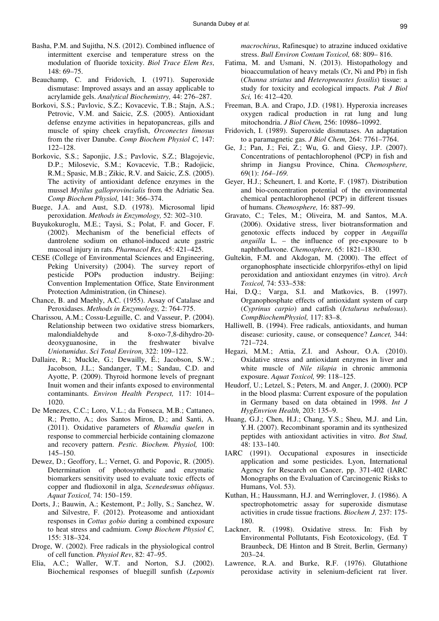- Basha, P.M. and Sujitha, N.S. (2012). Combined influence of intermittent exercise and temperature stress on the modulation of fluoride toxicity. *Biol Trace Elem Res*, 148: 69–75.
- Beauchamp, C. and Fridovich, I. (1971). Superoxide dismutase: Improved assays and an assay applicable to acrylamide gels. *Analytical Biochemistry,* 44: 276–287.
- Borkovi, S.S.; Pavlovic, S.Z.; Kovacevic, T.B.; Stajn, A.S.; Petrovic, V.M. and Saicic, Z.S. (2005). Antioxidant defense enzyme activities in hepatopancreas, gills and muscle of spiny cheek crayfish, *Orconectes limosus* from the river Danube. *Comp Biochem Physiol C,* 147: 122–128.
- Borkovic, S.S.; Saponjic, J.S.; Pavlovic, S.Z.; Blagojevic, D.P.; Milosevic, S.M.; Kovacevic, T.B.; Radojicic, R.M.; Spasic, M.B.; Zikic, R.V. and Saicic, Z.S. (2005). The activity of antioxidant defence enzymes in the mussel *Mytilus galloprovincialis* from the Adriatic Sea. *Comp Biochem Physiol,* 141: 366–374.
- Buege, J.A. and Aust, S.D. (1978). Microsomal lipid peroxidation. *Methods in Enzymology,* 52: 302–310.
- Buyukokuroglu, M.E.; Taysi, S.; Polat, F. and Gocer, F. (2002). Mechanism of the beneficial effects of dantrolene sodium on ethanol-induced acute gastric mucosal injury in rats. *Pharmacol Res,* 45: 421–425.
- CESE (College of Environmental Sciences and Engineering, Peking University) (2004). The survey report of pesticide POPs production industry. Beijing: Convention Implementation Office, State Environment Protection Administration, (in Chinese).
- Chance, B. and Maehly, A.C. (1955). Assay of Catalase and Peroxidases. *Methods in Enzymology,* 2: 764-775.
- Charissou, A.M.; Cossu-Leguille, C. and Vasseur, P. (2004). Relationship between two oxidative stress biomarkers, malondialdehyde and 8-oxo-7,8-dihydro-20 deoxyguanosine, in the freshwater bivalve *Uniotumidus*. *Sci Total Environ,* 322: 109–122.
- Dallaire, R.; Muckle, G.; Dewailly, É.; Jacobson, S.W.; Jacobson, J.L.; Sandanger, T.M.; Sandau, C.D. and Ayotte, P. (2009). Thyroid hormone levels of pregnant Inuit women and their infants exposed to environmental contaminants. *Environ Health Perspect,* 117: 1014– 1020.
- De Menezes, C.C.; Loro, V.L.; da Fonseca, M.B.; Cattaneo, R.; Pretto, A.; dos Santos Miron, D.; and Santi, A. (2011). Oxidative parameters of *Rhamdia quelen* in response to commercial herbicide containing clomazone and recovery pattern. *Pestic. Biochem. Physiol,* 100: 145–150.
- Dewez, D.; Geoffory, L.; Vernet, G. and Popovic, R. (2005). Determination of photosynthetic and enzymatic biomarkers sensitivity used to evaluate toxic effects of copper and fludioxonil in alga, *Scenedesmus obliquus*. *Aquat Toxicol,* 74: 150–159.
- Dorts, J.; Bauwin, A.; Kestemont, P.; Jolly, S.; Sanchez, W. and Silvestre, F. (2012). Proteasome and antioxidant responses in *Cottus gobio* during a combined exposure to heat stress and cadmium. *Comp Biochem Physiol C,* 155: 318–324.
- Droge, W. (2002). Free radicals in the physiological control of cell function. *Physiol Rev*, 82: 47–95.
- Elia, A.C.; Waller, W.T. and Norton, S.J. (2002). Biochemical responses of bluegill sunfish (*Lepomis*

*macrochirus*, Rafinesque) to atrazine induced oxidative stress. *Bull Environ Contam Toxicol,* 68: 809– 816.

- Fatima, M. and Usmani, N. (2013). Histopathology and bioaccumulation of heavy metals (Cr, Ni and Pb) in fish (*Channa striatus* and *Heteropneustes fossilis*) tissue: a study for toxicity and ecological impacts. *Pak J Biol Sci,* 16: 412–420.
- Freeman, B.A. and Crapo, J.D. (1981). Hyperoxia increases oxygen radical production in rat lung and lung mitochondria. *J Biol Chem,* 256: 10986–10992.
- Fridovich, I. (1989). Superoxide dismutases. An adaptation to a paramagnetic gas. *J Biol Chem,* 264: 7761–7764.
- Ge, J.; Pan, J.; Fei, Z.; Wu, G. and Giesy, J.P. (2007). Concentrations of pentachlorophenol (PCP) in fish and shrimp in Jiangsu Province, China. *Chemosphere,*  69(1): *164–169.*
- Geyer, H.J.; Scheunert, I. and Korte, F. (1987). Distribution and bio-concentration potential of the environmental chemical pentachlorophenol (PCP) in different tissues of humans. *Chemosphere,* 16: 887–99.
- Gravato, C.; Teles, M.; Oliveira, M. and Santos, M.A. (2006). Oxidative stress, liver biotransformation and genotoxic effects induced by copper in *Anguilla anguilla* L. – the influence of pre-exposure to b naphthoflavone. *Chemosphere,* 65: 1821–1830.
- Gultekin, F.M. and Akdogan, M. (2000). The effect of organophosphate insecticide chlorpyrifos-ethyl on lipid peroxidation and antioxidant enzymes (in vitro). *Arch Toxicol,* 74: 533–538:
- Hai, D.Q.; Varga, S.I. and Matkovics, B. (1997). Organophosphate effects of antioxidant system of carp (*Cyprinus carpio*) and catfish (*Ictalurus nebulosus*). *CompBiochemPhysiol,* 117: 83–8.
- Halliwell, B. (1994). Free radicals, antioxidants, and human disease: curiosity, cause, or consequence? *Lancet,* 344: 721–724.
- Hegazi, M.M.; Attia, Z.I. and Ashour, O.A. (2010). Oxidative stress and antioxidant enzymes in liver and white muscle of *Nile tilapia* in chronic ammonia exposure. *Aquat Toxicol,* 99: 118–125.
- Heudorf, U.; Letzel, S.; Peters, M. and Anger, J. (2000). PCP in the blood plasma: Current exposure of the population in Germany based on data obtained in 1998. *Int J HygEnvrion Health,* 203: 135–9.
- Huang, G.J.; Chen, H.J.; Chang, Y.S.; Sheu, M.J. and Lin, Y.H. (2007). Recombinant sporamin and its synthesized peptides with antioxidant activities in vitro. *Bot Stud,* 48: 133–140.
- IARC (1991). Occupational exposures in insecticide application and some pesticides. Lyon, International Agency for Research on Cancer, pp. 371-402 (IARC Monographs on the Evaluation of Carcinogenic Risks to Humans, Vol. 53).
- Kuthan, H.; Haussmann, H.J. and Werringlover, J. (1986). A spectrophotometric assay for superoxide dismutase activities in crude tissue fractions. *Biochem J,* 237: 175- 180.
- Lackner, R. (1998). Oxidative stress. In: Fish by Environmental Pollutants, Fish Ecotoxicology, (Ed. T Braunbeck, DE Hinton and B Streit, Berlin, Germany) 203–24.
- Lawrence, R.A. and Burke, R.F. (1976). Glutathione peroxidase activity in selenium-deficient rat liver.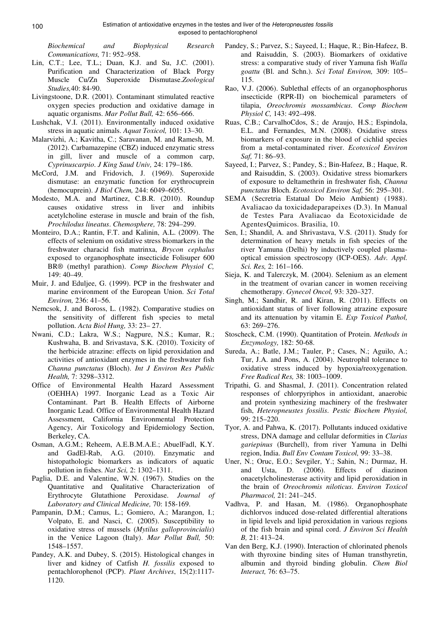*Biochemical and Biophysical Research Communications,* 71: 952–958.

- Lin, C.T.; Lee, T.L.; Duan, K.J. and Su, J.C. (2001). Purification and Characterization of Black Porgy Muscle Cu/Zn Superoxide Dismutase.*Zoological Studies,*40: 84-90.
- Livingstoone, D.R. (2001). Contaminant stimulated reactive oxygen species production and oxidative damage in aquatic organisms. *Mar Pollut Bull,* 42: 656–666.
- Lushchak, V.I. (2011). Environmentally induced oxidative stress in aquatic animals. *Aquat Toxicol,* 101: 13–30.
- Malarvizhi, A.; Kavitha, C.; Saravanan, M. and Ramesh, M. (2012). Carbamazepine (CBZ) induced enzymatic stress in gill, liver and muscle of a common carp, *Cyprinuscarpio*. *J King Saud Univ,* 24: 179–186.
- McCord, J.M. and Fridovich, J. (1969). Superoxide dismutase: an enzymatic function for erythrocuprein (hemocuprein). *J Biol Chem,* 244: 6049–6055.
- Modesto, M.A. and Martinez, C.B.R. (2010). Roundup causes oxidative stress in liver and inhibits acetylcholine esterase in muscle and brain of the fish, *Prochilodus lineatus*. *Chemosphere,* 78: 294–299.
- Monteiro, D.A.; Rantin, F.T. and Kalinin, A.L. (2009). The effects of selenium on oxidative stress biomarkers in the freshwater characid fish matrinxa, *Brycon cephalus* exposed to organophosphate insecticide Folisuper 600 BR® (methyl parathion). *Comp Biochem Physiol C,*  149: 40–49.
- Muir, J. and Eduljee, G. (1999). PCP in the freshwater and marine environment of the European Union. *Sci Total Environ,* 236: 41–56.
- Nemcsok, J. and Boross, L. (1982). Comparative studies on the sensitivity of different fish species to metal pollution. *Acta Biol Hung,* 33: 23– 27.
- Nwani, C.D.; Lakra, W.S.; Nagpure, N.S.; Kumar, R.; Kushwaha, B. and Srivastava, S.K. (2010). Toxicity of the herbicide atrazine: effects on lipid peroxidation and activities of antioxidant enzymes in the freshwater fish *Channa punctatus* (Bloch). *Int J Environ Res Public Health,* 7: 3298–3312.
- Office of Environmental Health Hazard Assessment (OEHHA) 1997. Inorganic Lead as a Toxic Air Contaminant. Part B. Health Effects of Airborne Inorganic Lead. Office of Environmental Health Hazard Assessment, California Environmental Protection Agency, Air Toxicology and Epidemiology Section, Berkeley, CA.
- Osman, A.G.M.; Reheem, A.E.B.M.A.E.; AbuelFadl, K.Y. and GadEl-Rab, A.G. (2010). Enzymatic and histopathologic biomarkers as indicators of aquatic pollution in fishes. *Nat Sci,* 2: 1302–1311.
- Paglia, D.E. and Valentine, W.N. (1967). Studies on the Quantitative and Qualitative Characterization of Erythrocyte Glutathione Peroxidase. *Journal of Laboratory and Clinical Medicine,* 70: 158-169.
- Pampanin, D.M.; Camus, L.; Gomiero, A.; Marangon, I.; Volpato, E. and Nasci, C. (2005). Susceptibility to oxidative stress of mussels (*Mytilus galloprovincialis*) in the Venice Lagoon (Italy). *Mar Pollut Bull,* 50: 1548–1557.
- Pandey, A.K. and Dubey, S. (2015). Histological changes in liver and kidney of Catfish *H. fossilis* exposed to pentachlorophenol (PCP). *Plant Archives*, 15(2):1117- 1120.
- Pandey, S.; Parvez, S.; Sayeed, I.; Haque, R.; Bin-Hafeez, B. and Raisuddin, S. (2003). Biomarkers of oxidative stress: a comparative study of river Yamuna fish *Walla goattu* (Bl. and Schn.). *Sci Total Environ,* 309: 105– 115.
- Rao, V.J. (2006). Sublethal effects of an organophosphorus insecticide (RPR-II) on biochemical parameters of tilapia, *Oreochromis mossambicus*. *Comp Biochem Physiol C,* 143: 492–498.
- Ruas, C.B.; CarvalhoCdos, S.; de Araujo, H.S.; Espindola, E.L. and Fernandes, M.N. (2008). Oxidative stress biomarkers of exposure in the blood of cichlid species from a metal-contaminated river. *Ecotoxicol Environ Saf,* 71: 86–93.
- Sayeed, I.; Parvez, S.; Pandey, S.; Bin-Hafeez, B.; Haque, R. and Raisuddin, S. (2003). Oxidative stress biomarkers of exposure to deltamethrin in freshwater fish, *Channa punctatus* Bloch. *Ecotoxicol Environ Saf,* 56: 295–301.
- SEMA (Secretria Estatual Do Meio Ambient) (1988). Avaliacao da toxicidadeparapeixes (D.3). In Manual de Testes Para Avaliacao da Ecotoxicidade de AgentesQuimicos. Brasilia, 10.
- Sen, I.; Shandil, A. and Shrivastava, V.S. (2011). Study for determination of heavy metals in fish species of the river Yamuna (Delhi) by inductively coupled plasmaoptical emission spectroscopy (ICP-OES). *Adv. Appl. Sci. Res,* 2: 161–166.
- Sieja, K. and Talerczyk, M. (2004). Selenium as an element in the treatment of ovarian cancer in women receiving chemotherapy. *Gynecol Oncol,* 93: 320–327.
- Singh, M.; Sandhir, R. and Kiran, R. (2011). Effects on antioxidant status of liver following atrazine exposure and its attenuation by vitamin E. *Exp Toxicol Pathol,* 63: 269–276.
- Stoscheck, C.M. (1990). Quantitation of Protein. *Methods in Enzymology,* 182: 50-68.
- Sureda, A.; Batle, J.M.; Tauler, P.; Cases, N.; Aguilo, A.; Tur, J.A. and Pons, A. (2004). Neutrophil tolerance to oxidative stress induced by hypoxia/reoxygenation. *Free Radical Res,* 38: 1003–1009.
- Tripathi, G. and Shasmal, J. (2011). Concentration related responses of chlorpyriphos in antioxidant, anaerobic and protein synthesizing machinery of the freshwater fish, *Heteropneustes fossilis*. *Pestic Biochem Physiol,* 99: 215–220.
- Tyor, A. and Pahwa, K. (2017). Pollutants induced oxidative stress, DNA damage and cellular deformities in *Clarias gariepinus* (Burchell), from river Yamuna in Delhi region, India. *Bull Env Contam Toxicol,* 99: 33–38.
- Uner, N.; Oruc, E.O.; Sevgiler, Y.; Sahin, N.; Durmaz, H. and Usta, D. (2006). Effects of diazinon onacetylcholinesterase activity and lipid peroxidation in the brain of *Oreochromis niloticus*. *Environ Toxicol Pharmacol,* 21: 241–245.
- Vadhva, P. and Hasan, M. (1986). Organophosphate dichlorvos induced dose-related differential alterations in lipid levels and lipid peroxidation in various regions of the fish brain and spinal cord. *J Environ Sci Health B,* 21: 413–24.
- Van den Berg, K.J. (1990). Interaction of chlorinated phenols with thyroxine binding sites of Human transthyretin, albumin and thyroid binding globulin. *Chem Biol Interact,* 76: 63–75.